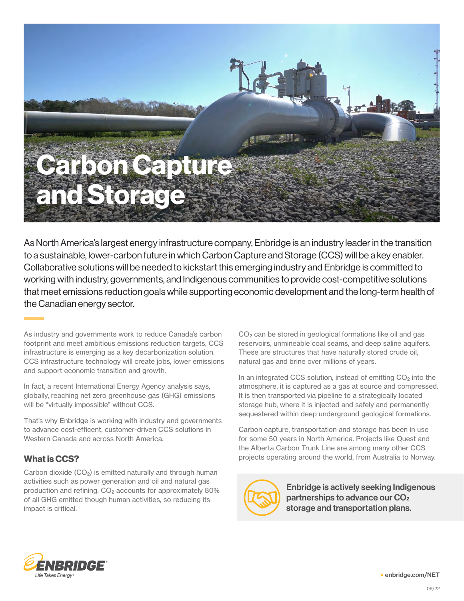

As North America's largest energy infrastructure company, Enbridge is an industry leader in the transition to a sustainable, lower-carbon future in which Carbon Capture and Storage (CCS) will be a key enabler. Collaborative solutions will be needed to kickstart this emerging industry and Enbridge is committed to working with industry, governments, and Indigenous communities to provide cost-competitive solutions that meet emissions reduction goals while supporting economic development and the long-term health of the Canadian energy sector.

As industry and governments work to reduce Canada's carbon footprint and meet ambitious emissions reduction targets, CCS infrastructure is emerging as a key decarbonization solution. CCS infrastructure technology will create jobs, lower emissions and support economic transition and growth.

In fact, a recent International Energy Agency analysis says, globally, reaching net zero greenhouse gas (GHG) emissions will be "virtually impossible" without CCS.

That's why Enbridge is working with industry and governments to advance cost-efficent, customer-driven CCS solutions in Western Canada and across North America.

## What is CCS?

Carbon dioxide  $(CO<sub>2</sub>)$  is emitted naturally and through human activities such as power generation and oil and natural gas production and refining.  $CO<sub>2</sub>$  accounts for approximately 80% of all GHG emitted though human activities, so reducing its impact is critical.

CO2 can be stored in geological formations like oil and gas reservoirs, unmineable coal seams, and deep saline aquifers. These are structures that have naturally stored crude oil, natural gas and brine over millions of years.

In an integrated CCS solution, instead of emitting  $CO<sub>2</sub>$  into the atmosphere, it is captured as a gas at source and compressed. It is then transported via pipeline to a strategically located storage hub, where it is injected and safely and permanently sequestered within deep underground geological formations.

Carbon capture, transportation and storage has been in use for some 50 years in North America. Projects like Quest and the Alberta Carbon Trunk Line are among many other CCS projects operating around the world, from Australia to Norway.

Enbridge is actively seeking Indigenous partnerships to advance our CO2 storage and transportation plans.